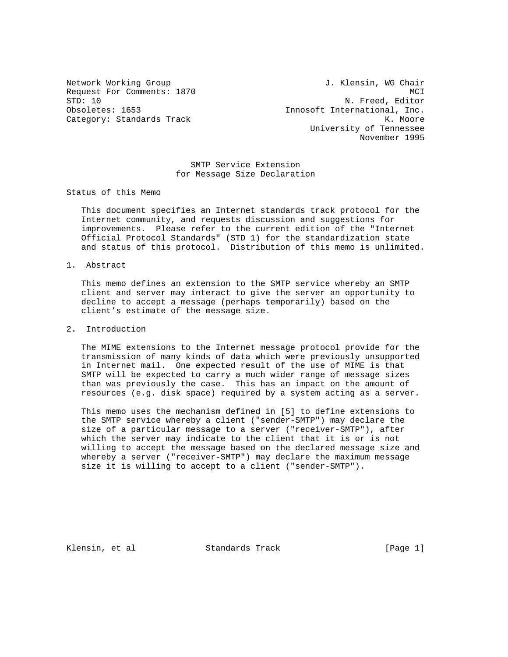Network Working Group 1. Klensin, WG Chair Request For Comments: 1870 MCI<br>
STD: 10 MCI MCI M. Freed, Editor N. Freed, Editor Obsoletes: 1653 Innosoft International, Inc. Category: Standards Track K. Moore University of Tennessee November 1995

> SMTP Service Extension for Message Size Declaration

Status of this Memo

 This document specifies an Internet standards track protocol for the Internet community, and requests discussion and suggestions for improvements. Please refer to the current edition of the "Internet Official Protocol Standards" (STD 1) for the standardization state and status of this protocol. Distribution of this memo is unlimited.

1. Abstract

 This memo defines an extension to the SMTP service whereby an SMTP client and server may interact to give the server an opportunity to decline to accept a message (perhaps temporarily) based on the client's estimate of the message size.

## 2. Introduction

 The MIME extensions to the Internet message protocol provide for the transmission of many kinds of data which were previously unsupported in Internet mail. One expected result of the use of MIME is that SMTP will be expected to carry a much wider range of message sizes than was previously the case. This has an impact on the amount of resources (e.g. disk space) required by a system acting as a server.

 This memo uses the mechanism defined in [5] to define extensions to the SMTP service whereby a client ("sender-SMTP") may declare the size of a particular message to a server ("receiver-SMTP"), after which the server may indicate to the client that it is or is not willing to accept the message based on the declared message size and whereby a server ("receiver-SMTP") may declare the maximum message size it is willing to accept to a client ("sender-SMTP").

Klensin, et al Standards Track [Page 1]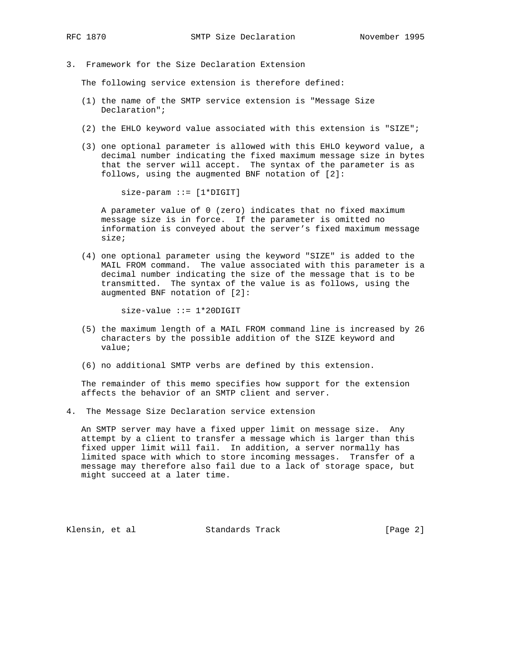- 
- 3. Framework for the Size Declaration Extension

The following service extension is therefore defined:

- (1) the name of the SMTP service extension is "Message Size Declaration";
- (2) the EHLO keyword value associated with this extension is "SIZE";
- (3) one optional parameter is allowed with this EHLO keyword value, a decimal number indicating the fixed maximum message size in bytes that the server will accept. The syntax of the parameter is as follows, using the augmented BNF notation of [2]:

size-param ::= [1\*DIGIT]

 A parameter value of 0 (zero) indicates that no fixed maximum message size is in force. If the parameter is omitted no information is conveyed about the server's fixed maximum message size;

 (4) one optional parameter using the keyword "SIZE" is added to the MAIL FROM command. The value associated with this parameter is a decimal number indicating the size of the message that is to be transmitted. The syntax of the value is as follows, using the augmented BNF notation of [2]:

size-value ::= 1\*20DIGIT

- (5) the maximum length of a MAIL FROM command line is increased by 26 characters by the possible addition of the SIZE keyword and value;
- (6) no additional SMTP verbs are defined by this extension.

 The remainder of this memo specifies how support for the extension affects the behavior of an SMTP client and server.

4. The Message Size Declaration service extension

 An SMTP server may have a fixed upper limit on message size. Any attempt by a client to transfer a message which is larger than this fixed upper limit will fail. In addition, a server normally has limited space with which to store incoming messages. Transfer of a message may therefore also fail due to a lack of storage space, but might succeed at a later time.

Klensin, et al Standards Track [Page 2]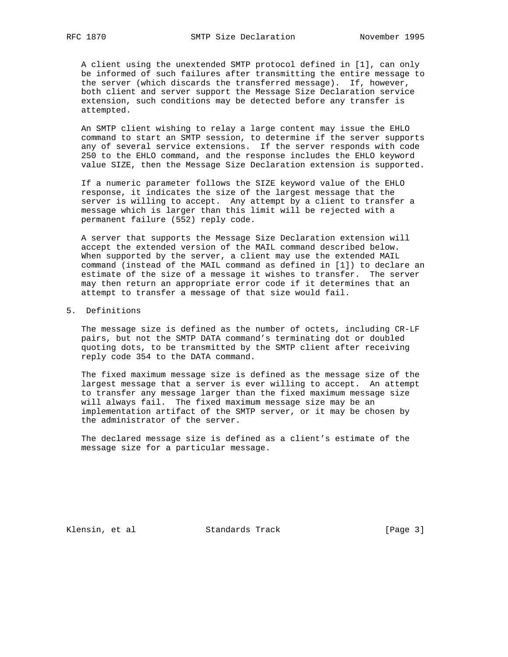A client using the unextended SMTP protocol defined in [1], can only be informed of such failures after transmitting the entire message to the server (which discards the transferred message). If, however, both client and server support the Message Size Declaration service extension, such conditions may be detected before any transfer is attempted.

 An SMTP client wishing to relay a large content may issue the EHLO command to start an SMTP session, to determine if the server supports any of several service extensions. If the server responds with code 250 to the EHLO command, and the response includes the EHLO keyword value SIZE, then the Message Size Declaration extension is supported.

 If a numeric parameter follows the SIZE keyword value of the EHLO response, it indicates the size of the largest message that the server is willing to accept. Any attempt by a client to transfer a message which is larger than this limit will be rejected with a permanent failure (552) reply code.

 A server that supports the Message Size Declaration extension will accept the extended version of the MAIL command described below. When supported by the server, a client may use the extended MAIL command (instead of the MAIL command as defined in [1]) to declare an estimate of the size of a message it wishes to transfer. The server may then return an appropriate error code if it determines that an attempt to transfer a message of that size would fail.

# 5. Definitions

 The message size is defined as the number of octets, including CR-LF pairs, but not the SMTP DATA command's terminating dot or doubled quoting dots, to be transmitted by the SMTP client after receiving reply code 354 to the DATA command.

 The fixed maximum message size is defined as the message size of the largest message that a server is ever willing to accept. An attempt to transfer any message larger than the fixed maximum message size will always fail. The fixed maximum message size may be an implementation artifact of the SMTP server, or it may be chosen by the administrator of the server.

 The declared message size is defined as a client's estimate of the message size for a particular message.

Klensin, et al Standards Track [Page 3]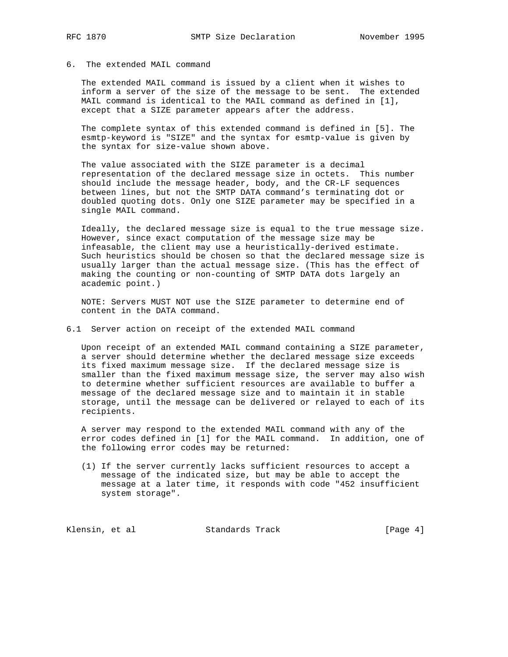# 6. The extended MAIL command

 The extended MAIL command is issued by a client when it wishes to inform a server of the size of the message to be sent. The extended MAIL command is identical to the MAIL command as defined in [1], except that a SIZE parameter appears after the address.

 The complete syntax of this extended command is defined in [5]. The esmtp-keyword is "SIZE" and the syntax for esmtp-value is given by the syntax for size-value shown above.

 The value associated with the SIZE parameter is a decimal representation of the declared message size in octets. This number should include the message header, body, and the CR-LF sequences between lines, but not the SMTP DATA command's terminating dot or doubled quoting dots. Only one SIZE parameter may be specified in a single MAIL command.

 Ideally, the declared message size is equal to the true message size. However, since exact computation of the message size may be infeasable, the client may use a heuristically-derived estimate. Such heuristics should be chosen so that the declared message size is usually larger than the actual message size. (This has the effect of making the counting or non-counting of SMTP DATA dots largely an academic point.)

 NOTE: Servers MUST NOT use the SIZE parameter to determine end of content in the DATA command.

### 6.1 Server action on receipt of the extended MAIL command

 Upon receipt of an extended MAIL command containing a SIZE parameter, a server should determine whether the declared message size exceeds its fixed maximum message size. If the declared message size is smaller than the fixed maximum message size, the server may also wish to determine whether sufficient resources are available to buffer a message of the declared message size and to maintain it in stable storage, until the message can be delivered or relayed to each of its recipients.

 A server may respond to the extended MAIL command with any of the error codes defined in [1] for the MAIL command. In addition, one of the following error codes may be returned:

 (1) If the server currently lacks sufficient resources to accept a message of the indicated size, but may be able to accept the message at a later time, it responds with code "452 insufficient system storage".

Klensin, et al **Standards Track** [Page 4]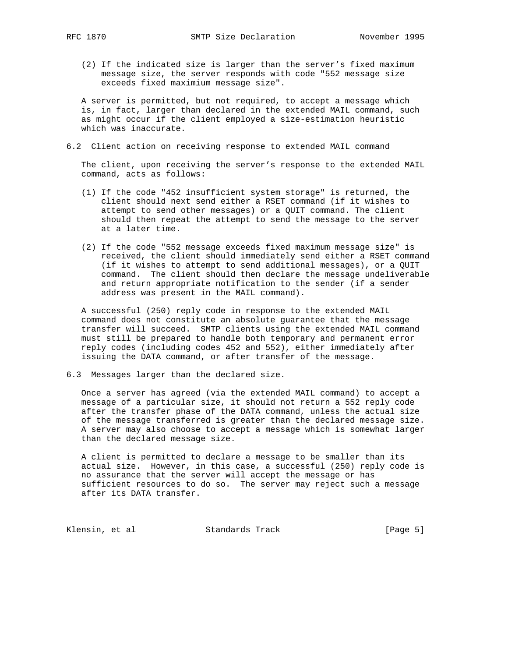- - (2) If the indicated size is larger than the server's fixed maximum message size, the server responds with code "552 message size exceeds fixed maximium message size".

 A server is permitted, but not required, to accept a message which is, in fact, larger than declared in the extended MAIL command, such as might occur if the client employed a size-estimation heuristic which was inaccurate.

6.2 Client action on receiving response to extended MAIL command

 The client, upon receiving the server's response to the extended MAIL command, acts as follows:

- (1) If the code "452 insufficient system storage" is returned, the client should next send either a RSET command (if it wishes to attempt to send other messages) or a QUIT command. The client should then repeat the attempt to send the message to the server at a later time.
- (2) If the code "552 message exceeds fixed maximum message size" is received, the client should immediately send either a RSET command (if it wishes to attempt to send additional messages), or a QUIT command. The client should then declare the message undeliverable and return appropriate notification to the sender (if a sender address was present in the MAIL command).

 A successful (250) reply code in response to the extended MAIL command does not constitute an absolute guarantee that the message transfer will succeed. SMTP clients using the extended MAIL command must still be prepared to handle both temporary and permanent error reply codes (including codes 452 and 552), either immediately after issuing the DATA command, or after transfer of the message.

6.3 Messages larger than the declared size.

 Once a server has agreed (via the extended MAIL command) to accept a message of a particular size, it should not return a 552 reply code after the transfer phase of the DATA command, unless the actual size of the message transferred is greater than the declared message size. A server may also choose to accept a message which is somewhat larger than the declared message size.

 A client is permitted to declare a message to be smaller than its actual size. However, in this case, a successful (250) reply code is no assurance that the server will accept the message or has sufficient resources to do so. The server may reject such a message after its DATA transfer.

Klensin, et al Standards Track [Page 5]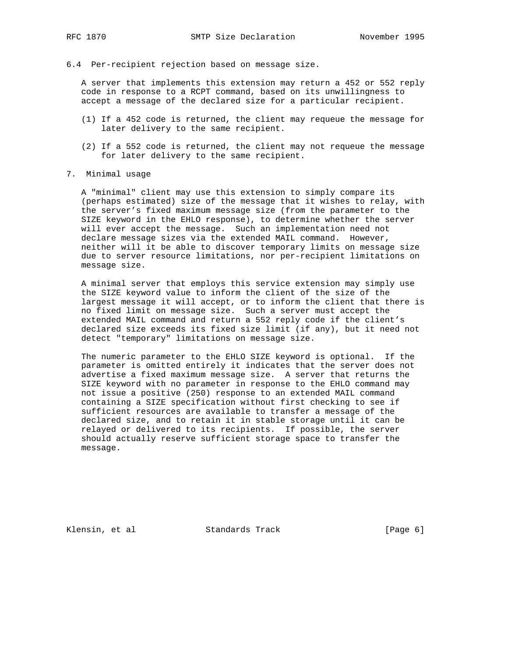6.4 Per-recipient rejection based on message size.

 A server that implements this extension may return a 452 or 552 reply code in response to a RCPT command, based on its unwillingness to accept a message of the declared size for a particular recipient.

- (1) If a 452 code is returned, the client may requeue the message for later delivery to the same recipient.
- (2) If a 552 code is returned, the client may not requeue the message for later delivery to the same recipient.
- 7. Minimal usage

 A "minimal" client may use this extension to simply compare its (perhaps estimated) size of the message that it wishes to relay, with the server's fixed maximum message size (from the parameter to the SIZE keyword in the EHLO response), to determine whether the server will ever accept the message. Such an implementation need not declare message sizes via the extended MAIL command. However, neither will it be able to discover temporary limits on message size due to server resource limitations, nor per-recipient limitations on message size.

 A minimal server that employs this service extension may simply use the SIZE keyword value to inform the client of the size of the largest message it will accept, or to inform the client that there is no fixed limit on message size. Such a server must accept the extended MAIL command and return a 552 reply code if the client's declared size exceeds its fixed size limit (if any), but it need not detect "temporary" limitations on message size.

 The numeric parameter to the EHLO SIZE keyword is optional. If the parameter is omitted entirely it indicates that the server does not advertise a fixed maximum message size. A server that returns the SIZE keyword with no parameter in response to the EHLO command may not issue a positive (250) response to an extended MAIL command containing a SIZE specification without first checking to see if sufficient resources are available to transfer a message of the declared size, and to retain it in stable storage until it can be relayed or delivered to its recipients. If possible, the server should actually reserve sufficient storage space to transfer the message.

Klensin, et al **Standards Track** [Page 6]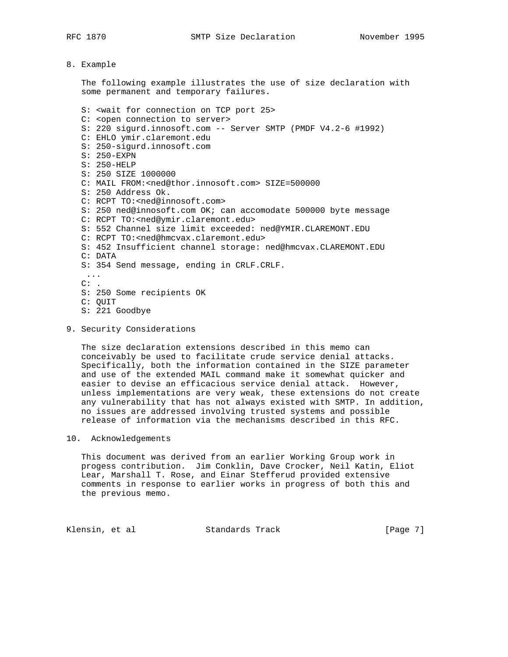### 8. Example

 The following example illustrates the use of size declaration with some permanent and temporary failures.

 S: <wait for connection on TCP port 25> C: <open connection to server> S: 220 sigurd.innosoft.com -- Server SMTP (PMDF V4.2-6 #1992) C: EHLO ymir.claremont.edu S: 250-sigurd.innosoft.com S: 250-EXPN S: 250-HELP S: 250 SIZE 1000000 C: MAIL FROM:<ned@thor.innosoft.com> SIZE=500000 S: 250 Address Ok. C: RCPT TO:<ned@innosoft.com> S: 250 ned@innosoft.com OK; can accomodate 500000 byte message C: RCPT TO:<ned@ymir.claremont.edu> S: 552 Channel size limit exceeded: ned@YMIR.CLAREMONT.EDU C: RCPT TO:<ned@hmcvax.claremont.edu> S: 452 Insufficient channel storage: ned@hmcvax.CLAREMONT.EDU C: DATA S: 354 Send message, ending in CRLF.CRLF. ...  $C:$  . S: 250 Some recipients OK C: QUIT S: 221 Goodbye

## 9. Security Considerations

 The size declaration extensions described in this memo can conceivably be used to facilitate crude service denial attacks. Specifically, both the information contained in the SIZE parameter and use of the extended MAIL command make it somewhat quicker and easier to devise an efficacious service denial attack. However, unless implementations are very weak, these extensions do not create any vulnerability that has not always existed with SMTP. In addition, no issues are addressed involving trusted systems and possible release of information via the mechanisms described in this RFC.

## 10. Acknowledgements

 This document was derived from an earlier Working Group work in progess contribution. Jim Conklin, Dave Crocker, Neil Katin, Eliot Lear, Marshall T. Rose, and Einar Stefferud provided extensive comments in response to earlier works in progress of both this and the previous memo.

Klensin, et al **Standards Track** [Page 7]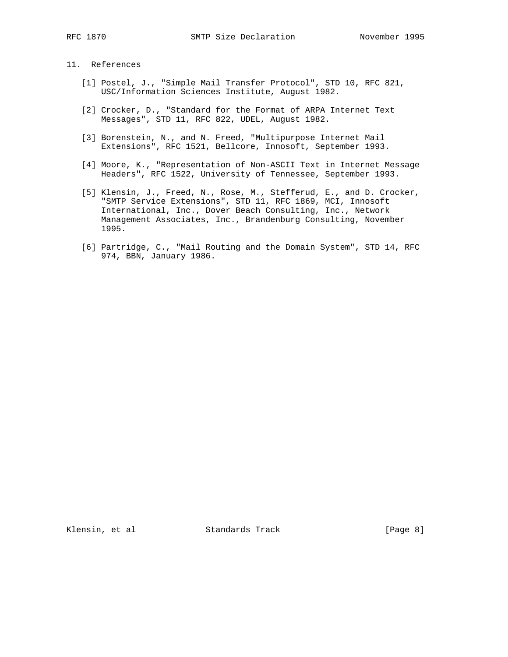# 11. References

- [1] Postel, J., "Simple Mail Transfer Protocol", STD 10, RFC 821, USC/Information Sciences Institute, August 1982.
- [2] Crocker, D., "Standard for the Format of ARPA Internet Text Messages", STD 11, RFC 822, UDEL, August 1982.
- [3] Borenstein, N., and N. Freed, "Multipurpose Internet Mail Extensions", RFC 1521, Bellcore, Innosoft, September 1993.
- [4] Moore, K., "Representation of Non-ASCII Text in Internet Message Headers", RFC 1522, University of Tennessee, September 1993.
- [5] Klensin, J., Freed, N., Rose, M., Stefferud, E., and D. Crocker, "SMTP Service Extensions", STD 11, RFC 1869, MCI, Innosoft International, Inc., Dover Beach Consulting, Inc., Network Management Associates, Inc., Brandenburg Consulting, November 1995.
- [6] Partridge, C., "Mail Routing and the Domain System", STD 14, RFC 974, BBN, January 1986.

Klensin, et al **Standards Track** [Page 8]